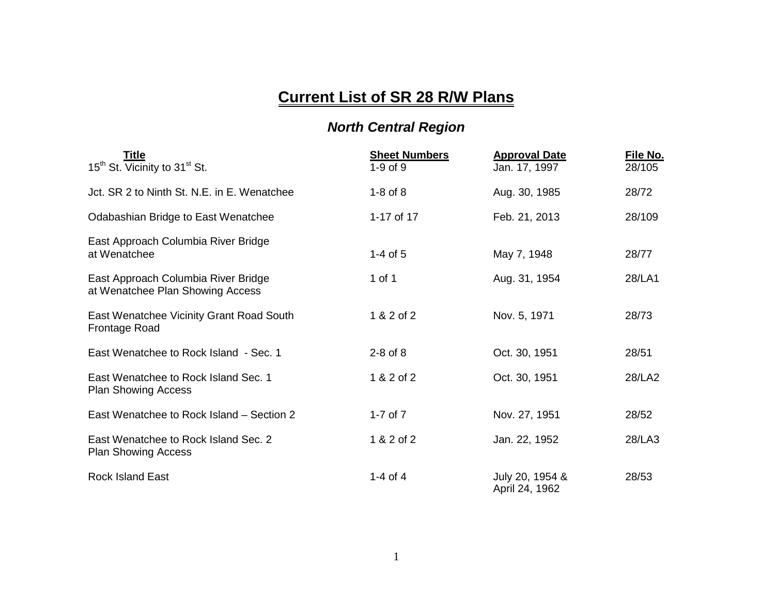## **Current List of SR 28 R/W Plans**

## *North Central Region*

| Title<br>15 <sup>th</sup> St. Vicinity to 31 <sup>st</sup> St.          | <b>Sheet Numbers</b><br>$1-9$ of $9$ | <b>Approval Date</b><br>Jan. 17, 1997 | <u>File No.</u><br>28/105 |
|-------------------------------------------------------------------------|--------------------------------------|---------------------------------------|---------------------------|
| Jct. SR 2 to Ninth St. N.E. in E. Wenatchee                             | $1-8$ of $8$                         | Aug. 30, 1985                         | 28/72                     |
| Odabashian Bridge to East Wenatchee                                     | 1-17 of 17                           | Feb. 21, 2013                         | 28/109                    |
| East Approach Columbia River Bridge<br>at Wenatchee                     | $1-4$ of 5                           | May 7, 1948                           | 28/77                     |
| East Approach Columbia River Bridge<br>at Wenatchee Plan Showing Access | 1 of 1                               | Aug. 31, 1954                         | 28/LA1                    |
| East Wenatchee Vicinity Grant Road South<br><b>Frontage Road</b>        | 1 & 2 of 2                           | Nov. 5, 1971                          | 28/73                     |
| East Wenatchee to Rock Island - Sec. 1                                  | $2-8$ of $8$                         | Oct. 30, 1951                         | 28/51                     |
| East Wenatchee to Rock Island Sec. 1<br><b>Plan Showing Access</b>      | 1 & 2 of 2                           | Oct. 30, 1951                         | 28/LA2                    |
| East Wenatchee to Rock Island – Section 2                               | 1-7 of $7$                           | Nov. 27, 1951                         | 28/52                     |
| East Wenatchee to Rock Island Sec. 2<br><b>Plan Showing Access</b>      | 1 & 2 of 2                           | Jan. 22, 1952                         | 28/LA3                    |
| <b>Rock Island East</b>                                                 | 1-4 of 4                             | July 20, 1954 &<br>April 24, 1962     | 28/53                     |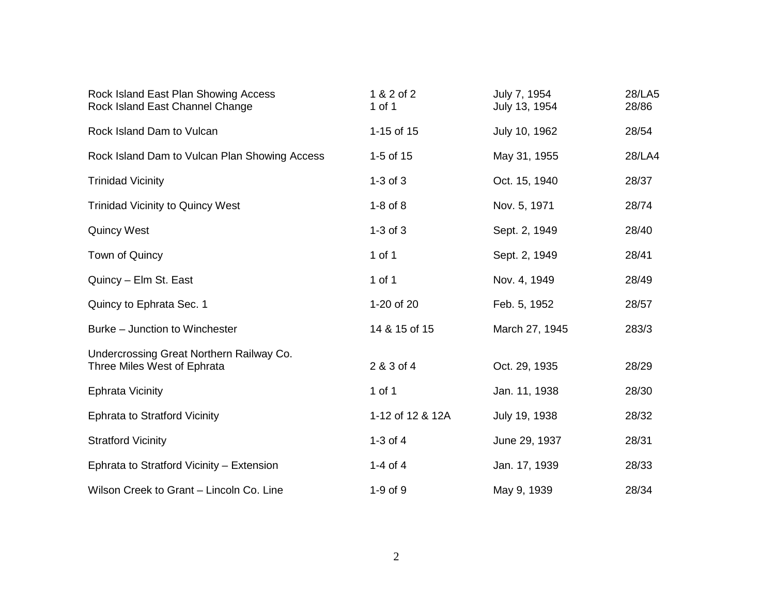| Rock Island East Plan Showing Access<br>Rock Island East Channel Change | 1 & 2 of 2<br>1 of 1 | July 7, 1954<br>July 13, 1954 | 28/LA5<br>28/86 |
|-------------------------------------------------------------------------|----------------------|-------------------------------|-----------------|
| Rock Island Dam to Vulcan                                               | 1-15 of 15           | July 10, 1962                 | 28/54           |
| Rock Island Dam to Vulcan Plan Showing Access                           | 1-5 of 15            | May 31, 1955                  | 28/LA4          |
| <b>Trinidad Vicinity</b>                                                | $1-3$ of $3$         | Oct. 15, 1940                 | 28/37           |
| <b>Trinidad Vicinity to Quincy West</b>                                 | $1-8$ of $8$         | Nov. 5, 1971                  | 28/74           |
| <b>Quincy West</b>                                                      | $1-3$ of $3$         | Sept. 2, 1949                 | 28/40           |
| Town of Quincy                                                          | 1 of 1               | Sept. 2, 1949                 | 28/41           |
| Quincy - Elm St. East                                                   | 1 of 1               | Nov. 4, 1949                  | 28/49           |
| Quincy to Ephrata Sec. 1                                                | 1-20 of 20           | Feb. 5, 1952                  | 28/57           |
| Burke - Junction to Winchester                                          | 14 & 15 of 15        | March 27, 1945                | 283/3           |
| Undercrossing Great Northern Railway Co.<br>Three Miles West of Ephrata | 2 & 3 of 4           | Oct. 29, 1935                 | 28/29           |
| <b>Ephrata Vicinity</b>                                                 | 1 of 1               | Jan. 11, 1938                 | 28/30           |
| <b>Ephrata to Stratford Vicinity</b>                                    | 1-12 of 12 & 12A     | July 19, 1938                 | 28/32           |
| <b>Stratford Vicinity</b>                                               | 1-3 of $4$           | June 29, 1937                 | 28/31           |
| Ephrata to Stratford Vicinity - Extension                               | 1-4 of 4             | Jan. 17, 1939                 | 28/33           |
| Wilson Creek to Grant - Lincoln Co. Line                                | $1-9$ of $9$         | May 9, 1939                   | 28/34           |